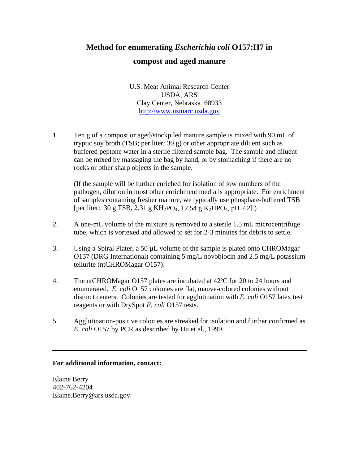## **Method for enumerating** *Escherichia coli* **O157:H7 in**

## **compost and aged manure**

U.S. Meat Animal Research Center USDA, ARS Clay Center, Nebraska 68933 http://www.usmarc.usda.gov

1. Ten g of a compost or aged/stockpiled manure sample is mixed with 90 mL of tryptic soy broth (TSB; per liter: 30 g) or other appropriate diluent such as buffered peptone water in a sterile filtered sample bag. The sample and diluent can be mixed by massaging the bag by hand, or by stomaching if there are no rocks or other sharp objects in the sample.

 (If the sample will be further enriched for isolation of low numbers of the pathogen, dilution in most other enrichment media is appropriate. For enrichment of samples containing fresher manure, we typically use phosphate-buffered TSB [per liter: 30 g TSB, 2.31 g KH<sub>2</sub>PO<sub>4</sub>, 12.54 g K<sub>2</sub>HPO<sub>4</sub>, pH 7.2].)

- 2. A one-mL volume of the mixture is removed to a sterile 1.5 mL microcentrifuge tube, which is vortexed and allowed to set for 2-3 minutes for debris to settle.
- 3. Using a Spiral Plater, a 50 µL volume of the sample is plated onto CHROMagar O157 (DRG International) containing 5 mg/L novobiocin and 2.5 mg/L potassium tellurite (ntCHROMagar O157).
- 4. The ntCHROMagar O157 plates are incubated at 42ºC for 20 to 24 hours and enumerated. *E. coli* O157 colonies are flat, mauve-colored colonies without distinct centers. Colonies are tested for agglutination with *E. coli* O157 latex test reagents or with DrySpot *E. coli* O157 tests.
- 5. Agglutination-positive colonies are streaked for isolation and further confirmed as *E. coli* O157 by PCR as described by Hu et al., 1999.

## **For additional information, contact:**

Elaine Berry 402-762-4204 Elaine.Berry@ars.usda.gov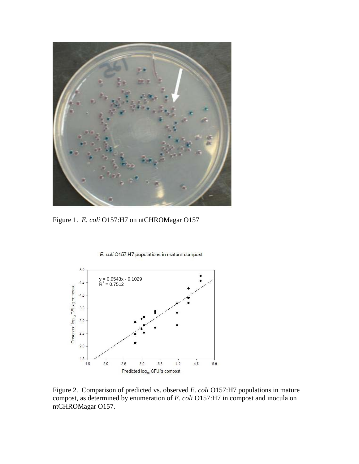

Figure 1. *E. coli* O157:H7 on ntCHROMagar O157





Figure 2. Comparison of predicted vs. observed *E. coli* O157:H7 populations in mature compost, as determined by enumeration of *E. coli* O157:H7 in compost and inocula on ntCHROMagar O157.